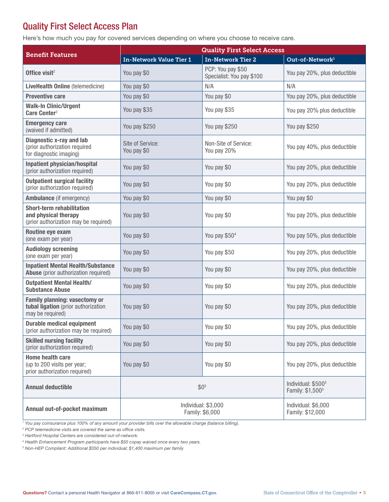## Quality First Select Access Plan

Here's how much you pay for covered services depending on where you choose to receive care.

| <b>Benefit Features</b>                                                                           | <b>Quality First Select Access</b>     |                                                |                                                                |  |
|---------------------------------------------------------------------------------------------------|----------------------------------------|------------------------------------------------|----------------------------------------------------------------|--|
|                                                                                                   | In-Network Value Tier 1                | <b>In-Network Tier 2</b>                       | Out-of-Network <sup>1</sup>                                    |  |
| Office visit $2$                                                                                  | You pay \$0                            | PCP: You pay \$50<br>Specialist: You pay \$100 | You pay 20%, plus deductible                                   |  |
| <b>LiveHealth Online</b> (telemedicine)                                                           | You pay \$0                            | N/A                                            | N/A                                                            |  |
| <b>Preventive care</b>                                                                            | You pay \$0                            | You pay \$0                                    | You pay 20%, plus deductible                                   |  |
| <b>Walk-In Clinic/Urgent</b><br>Care Center <sup>3</sup>                                          | You pay \$35                           | You pay \$35                                   | You pay 20% plus deductible                                    |  |
| <b>Emergency care</b><br>(waived if admitted)                                                     | You pay \$250                          | You pay \$250                                  | You pay \$250                                                  |  |
| <b>Diagnostic x-ray and lab</b><br>(prior authorization required<br>for diagnostic imaging)       | Site of Service:<br>You pay \$0        | Non-Site of Service:<br>You pay 20%            | You pay 40%, plus deductible                                   |  |
| <b>Inpatient physician/hospital</b><br>(prior authorization required)                             | You pay \$0                            | You pay \$0                                    | You pay 20%, plus deductible                                   |  |
| <b>Outpatient surgical facility</b><br>(prior authorization required)                             | You pay \$0                            | You pay \$0                                    | You pay 20%, plus deductible                                   |  |
| <b>Ambulance</b> (if emergency)                                                                   | You pay \$0                            | You pay \$0                                    | You pay \$0                                                    |  |
| <b>Short-term rehabilitation</b><br>and physical therapy<br>(prior authorization may be required) | You pay \$0                            | You pay \$0                                    | You pay 20%, plus deductible                                   |  |
| Routine eye exam<br>(one exam per year)                                                           | You pay \$0                            | You pay \$50 <sup>4</sup>                      | You pay 50%, plus deductible                                   |  |
| <b>Audiology screening</b><br>(one exam per year)                                                 | You pay \$0                            | You pay \$50                                   | You pay 20%, plus deductible                                   |  |
| <b>Inpatient Mental Health/Substance</b><br>Abuse (prior authorization required)                  | You pay \$0                            | You pay \$0                                    | You pay 20%, plus deductible                                   |  |
| <b>Outpatient Mental Health/</b><br><b>Substance Abuse</b>                                        | You pay \$0                            | You pay \$0                                    | You pay 20%, plus deductible                                   |  |
| <b>Family planning: vasectomy or</b><br>tubal ligation (prior authorization<br>may be required)   | You pay \$0                            | You pay \$0                                    | You pay 20%, plus deductible                                   |  |
| <b>Durable medical equipment</b><br>(prior authorization may be required)                         | You pay \$0                            | You pay \$0                                    | You pay 20%, plus deductible                                   |  |
| <b>Skilled nursing facility</b><br>(prior authorization required)                                 | You pay \$0                            | You pay \$0                                    | You pay 20%, plus deductible                                   |  |
| <b>Home health care</b><br>(up to 200 visits per year;<br>prior authorization required)           | You pay \$0                            | You pay \$0                                    | You pay 20%, plus deductible                                   |  |
| <b>Annual deductible</b>                                                                          | \$0 <sup>5</sup>                       |                                                | Individual: \$500 <sup>5</sup><br>Family: \$1,500 <sup>5</sup> |  |
| Annual out-of-pocket maximum                                                                      | Individual: \$3,000<br>Family: \$6,000 |                                                | Individual: \$6,000<br>Family: \$12,000                        |  |

*1 You pay coinsurance plus 100% of any amount your provider bills over the allowable charge (balance billing).*

<sup>2</sup> PCP telemedicine visits are covered the same as office visits.

*3 Hartford Hospital Centers are considered out-of-network.*

*4 Health Enhancement Program participants have \$50 copay waived once every two years.*

*5 Non-HEP Compliant: Additional \$350 per individual; \$1,400 maximum per family*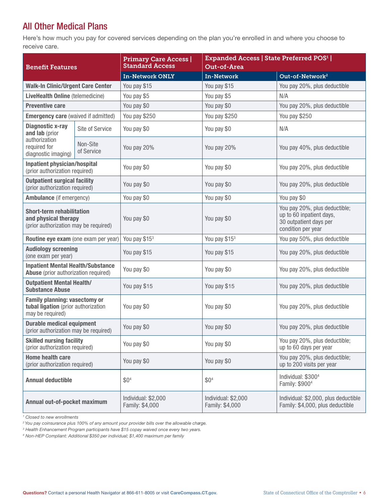## All Other Medical Plans

Here's how much you pay for covered services depending on the plan you're enrolled in and where you choose to receive care.

| <b>Benefit Features</b>                                                                           |                        | <b>Primary Care Access  </b><br><b>Standard Access</b> | <b>Expanded Access   State Preferred POS<sup>1</sup>  </b><br>Out-of-Area |                                                                                                           |
|---------------------------------------------------------------------------------------------------|------------------------|--------------------------------------------------------|---------------------------------------------------------------------------|-----------------------------------------------------------------------------------------------------------|
|                                                                                                   |                        | <b>In-Network ONLY</b>                                 | <b>In-Network</b>                                                         | Out-of-Network <sup>2</sup>                                                                               |
| <b>Walk-In Clinic/Urgent Care Center</b>                                                          |                        | You pay \$15                                           | You pay \$15                                                              | You pay 20%, plus deductible                                                                              |
| <b>LiveHealth Online (telemedicine)</b>                                                           |                        | You pay \$5                                            | You pay \$5                                                               | N/A                                                                                                       |
| <b>Preventive care</b>                                                                            |                        | You pay \$0                                            | You pay \$0                                                               | You pay 20%, plus deductible                                                                              |
| <b>Emergency care (waived if admitted)</b>                                                        |                        | You pay \$250                                          | You pay \$250                                                             | You pay \$250                                                                                             |
| <b>Diagnostic x-ray</b><br>and lab (prior<br>authorization<br>required for<br>diagnostic imaging) | Site of Service        | You pay \$0                                            | You pay \$0                                                               | N/A                                                                                                       |
|                                                                                                   | Non-Site<br>of Service | You pay 20%                                            | You pay 20%                                                               | You pay 40%, plus deductible                                                                              |
| <b>Inpatient physician/hospital</b><br>(prior authorization required)                             |                        | You pay \$0                                            | You pay \$0                                                               | You pay 20%, plus deductible                                                                              |
| <b>Outpatient surgical facility</b><br>(prior authorization required)                             |                        | You pay \$0                                            | You pay \$0                                                               | You pay 20%, plus deductible                                                                              |
| <b>Ambulance</b> (if emergency)                                                                   |                        | You pay \$0                                            | You pay \$0                                                               | You pay \$0                                                                                               |
| <b>Short-term rehabilitation</b><br>and physical therapy<br>(prior authorization may be required) |                        | You pay \$0                                            | You pay \$0                                                               | You pay 20%, plus deductible;<br>up to 60 inpatient days,<br>30 outpatient days per<br>condition per year |
| Routine eye exam (one exam per year)                                                              |                        | You pay \$15 <sup>3</sup>                              | You pay \$153                                                             | You pay 50%, plus deductible                                                                              |
| <b>Audiology screening</b><br>(one exam per year)                                                 |                        | You pay \$15                                           | You pay \$15                                                              | You pay 20%, plus deductible                                                                              |
| <b>Inpatient Mental Health/Substance</b><br>Abuse (prior authorization required)                  |                        | You pay \$0                                            | You pay \$0                                                               | You pay 20%, plus deductible                                                                              |
| <b>Outpatient Mental Health/</b><br><b>Substance Abuse</b>                                        |                        | You pay \$15                                           | You pay \$15                                                              | You pay 20%, plus deductible                                                                              |
| <b>Family planning: vasectomy or</b><br>tubal ligation (prior authorization<br>may be required)   |                        | You pay \$0                                            | You pay \$0                                                               | You pay 20%, plus deductible                                                                              |
| <b>Durable medical equipment</b><br>(prior authorization may be required)                         |                        | You pay \$0                                            | You pay \$0                                                               | You pay 20%, plus deductible                                                                              |
| <b>Skilled nursing facility</b><br>(prior authorization required)                                 |                        | You pay \$0                                            | You pay \$0                                                               | You pay 20%, plus deductible;<br>up to 60 days per year                                                   |
| <b>Home health care</b><br>(prior authorization required)                                         |                        | You pay \$0                                            | You pay \$0                                                               | You pay 20%, plus deductible;<br>up to 200 visits per year                                                |
| <b>Annual deductible</b>                                                                          |                        | \$0 <sup>4</sup>                                       | \$0 <sup>4</sup>                                                          | Individual: \$300 <sup>4</sup><br>Family: \$900 <sup>4</sup>                                              |
| Annual out-of-pocket maximum                                                                      |                        | Individual: \$2,000<br>Family: \$4,000                 | Individual: \$2,000<br>Family: \$4,000                                    | Individual: \$2,000, plus deductible<br>Family: \$4,000, plus deductible                                  |

*1 Closed to new enrollments*

*2 You pay coinsurance plus 100% of any amount your provider bills over the allowable charge.*

*3 Health Enhancement Program participants have \$15 copay waived once every two years.*

*4 Non-HEP Compliant: Additional \$350 per individual; \$1,400 maximum per family*